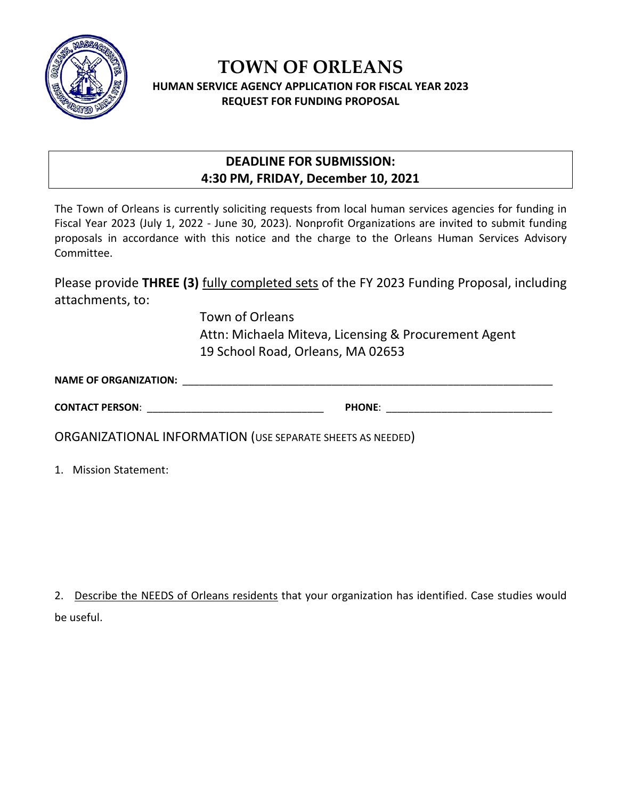

## **TOWN OF ORLEANS HUMAN SERVICE AGENCY APPLICATION FOR FISCAL YEAR 2023 REQUEST FOR FUNDING PROPOSAL**

## **DEADLINE FOR SUBMISSION: 4:30 PM, FRIDAY, December 10, 2021**

The Town of Orleans is currently soliciting requests from local human services agencies for funding in Fiscal Year 2023 (July 1, 2022 - June 30, 2023). Nonprofit Organizations are invited to submit funding proposals in accordance with this notice and the charge to the Orleans Human Services Advisory Committee.

Please provide **THREE (3)** fully completed sets of the FY 2023 Funding Proposal, including attachments, to:

> Town of Orleans Attn: Michaela Miteva, Licensing & Procurement Agent 19 School Road, Orleans, MA 02653

| <b>NAME OF ORGANIZATION:</b> |  |  |
|------------------------------|--|--|
|                              |  |  |

| <b>CONTACT PERSON:</b> | <b>PHONE</b> |  |
|------------------------|--------------|--|
|                        |              |  |

ORGANIZATIONAL INFORMATION (USE SEPARATE SHEETS AS NEEDED)

1. Mission Statement:

2. Describe the NEEDS of Orleans residents that your organization has identified. Case studies would be useful.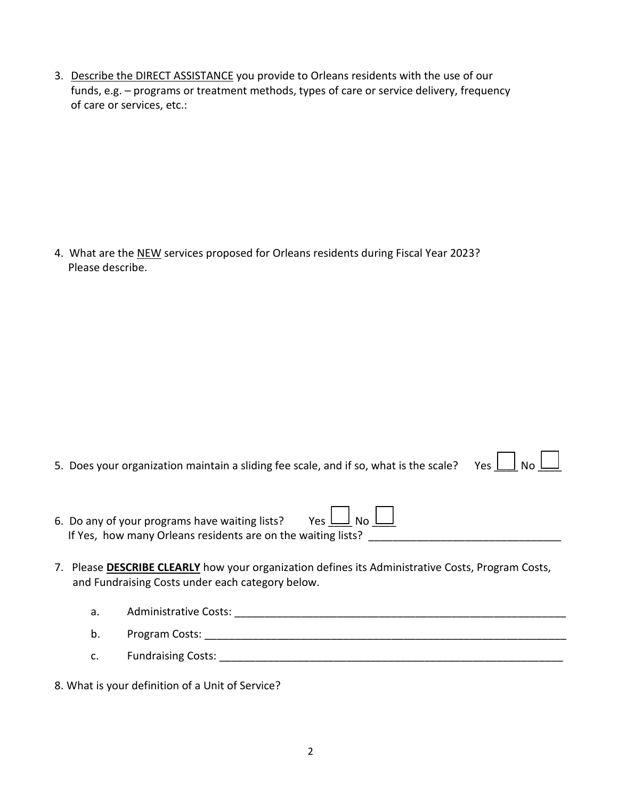3. Describe the DIRECT ASSISTANCE you provide to Orleans residents with the use of our funds, e.g. - programs or treatment methods, types of care or service delivery, frequency of care or services, etc.:

4. What are the NEW services proposed for Orleans residents during Fiscal Year 2023? Please describe.

| 5. Does your organization maintain a sliding fee scale, and if so, what is the scale? Yes $\underline{\bigsqcup}$ No $\underline{\bigsqcup}$ |  |  |  |  |
|----------------------------------------------------------------------------------------------------------------------------------------------|--|--|--|--|
|----------------------------------------------------------------------------------------------------------------------------------------------|--|--|--|--|

| 6. Do any of your programs have waiting lists?               | $Yes$ $\Box$ $No$ $\Box$ |
|--------------------------------------------------------------|--------------------------|
| If Yes, how many Orleans residents are on the waiting lists? |                          |

- 7. Please **DESCRIBE CLEARLY** how your organization defines its Administrative Costs, Program Costs, and Fundraising Costs under each category below.
	- $a.$  $b<sub>1</sub>$ c.

8. What is your definition of a Unit of Service?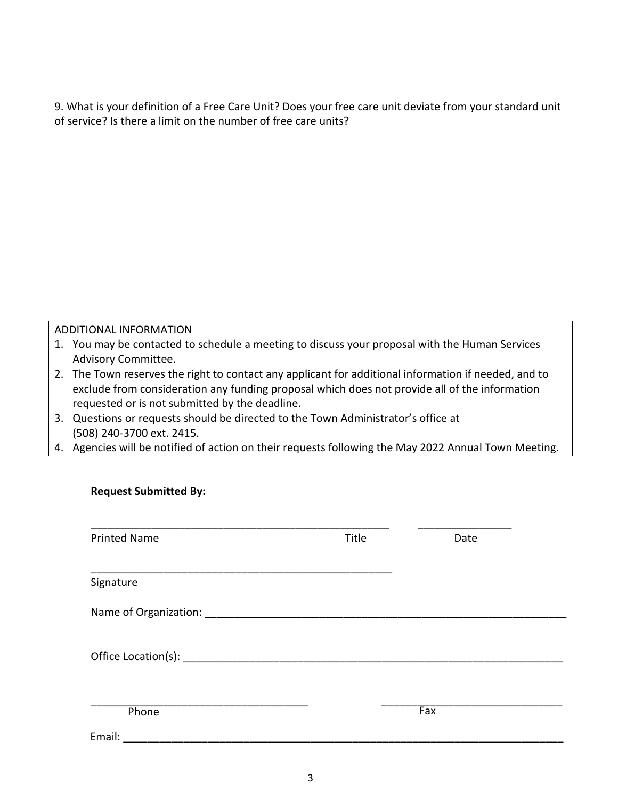9. What is your definition of a Free Care Unit? Does your free care unit deviate from your standard unit of service? Is there a limit on the number of free care units?

## ADDITIONAL INFORMATION

**Request Submitted By:**

- 1. You may be contacted to schedule a meeting to discuss your proposal with the Human Services Advisory Committee.
- 2. The Town reserves the right to contact any applicant for additional information if needed, and to exclude from consideration any funding proposal which does not provide all of the information requested or is not submitted by the deadline.
- 3. Questions or requests should be directed to the Town Administrator's office at (508) 240-3700 ext. 2415.
- 4. Agencies will be notified of action on their requests following the May 2022 Annual Town Meeting.

| <b>Printed Name</b>                                                                                                                                                                                                            | Title | Date |  |
|--------------------------------------------------------------------------------------------------------------------------------------------------------------------------------------------------------------------------------|-------|------|--|
| Signature                                                                                                                                                                                                                      |       |      |  |
|                                                                                                                                                                                                                                |       |      |  |
|                                                                                                                                                                                                                                |       |      |  |
|                                                                                                                                                                                                                                |       |      |  |
|                                                                                                                                                                                                                                |       |      |  |
|                                                                                                                                                                                                                                |       |      |  |
| Phone                                                                                                                                                                                                                          |       | Fax  |  |
| Email: Email: All and the state of the state of the state of the state of the state of the state of the state of the state of the state of the state of the state of the state of the state of the state of the state of the s |       |      |  |
|                                                                                                                                                                                                                                |       |      |  |